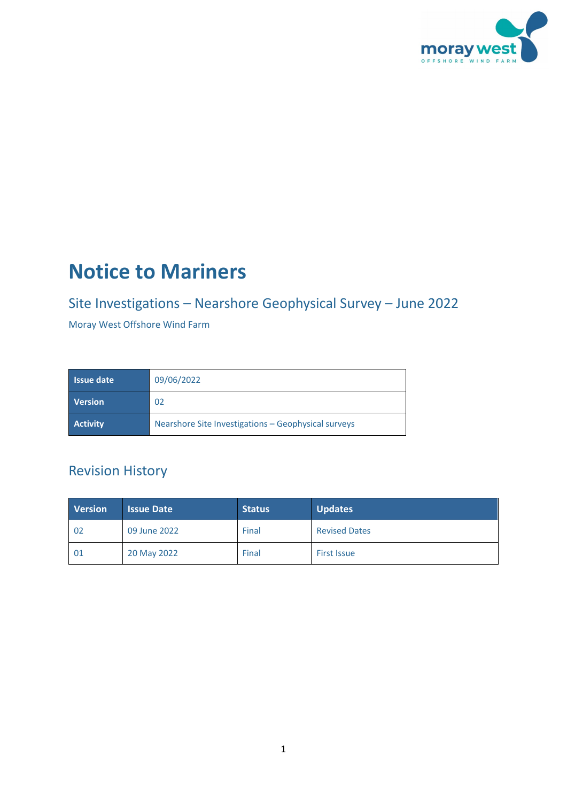

# **Notice to Mariners**

# Site Investigations – Nearshore Geophysical Survey – June 2022

Moray West Offshore Wind Farm

| l Issue date '  | 09/06/2022                                          |  |
|-----------------|-----------------------------------------------------|--|
| <b>Version</b>  | 02                                                  |  |
| <b>Activity</b> | Nearshore Site Investigations - Geophysical surveys |  |

## Revision History

| <b>Version</b> | <b>Issue Date</b> | <b>Status</b> | <b>Updates</b>       |
|----------------|-------------------|---------------|----------------------|
| -02            | 09 June 2022      | Final         | <b>Revised Dates</b> |
| 01             | 20 May 2022       | Final         | <b>First Issue</b>   |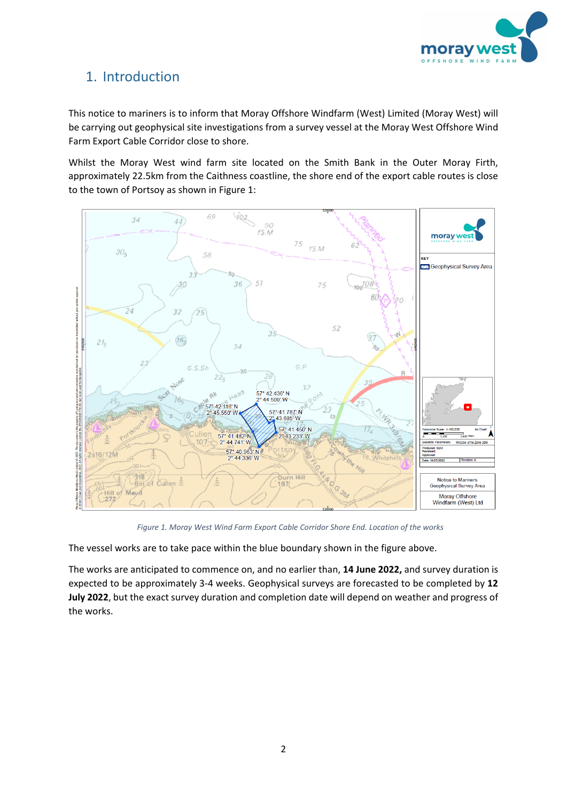

### 1. Introduction

This notice to mariners is to inform that Moray Offshore Windfarm (West) Limited (Moray West) will be carrying out geophysical site investigations from a survey vessel at the Moray West Offshore Wind Farm Export Cable Corridor close to shore.

Whilst the Moray West wind farm site located on the Smith Bank in the Outer Moray Firth, approximately 22.5km from the Caithness coastline, the shore end of the export cable routes is close to the town of Portsoy as shown in [Figure 1:](#page-1-0)

<span id="page-1-0"></span>

*Figure 1. Moray West Wind Farm Export Cable Corridor Shore End. Location of the works*

The vessel works are to take pace within the blue boundary shown in the figure above.

The works are anticipated to commence on, and no earlier than, **14 June 2022,** and survey duration is expected to be approximately 3-4 weeks. Geophysical surveys are forecasted to be completed by **12 July 2022**, but the exact survey duration and completion date will depend on weather and progress of the works.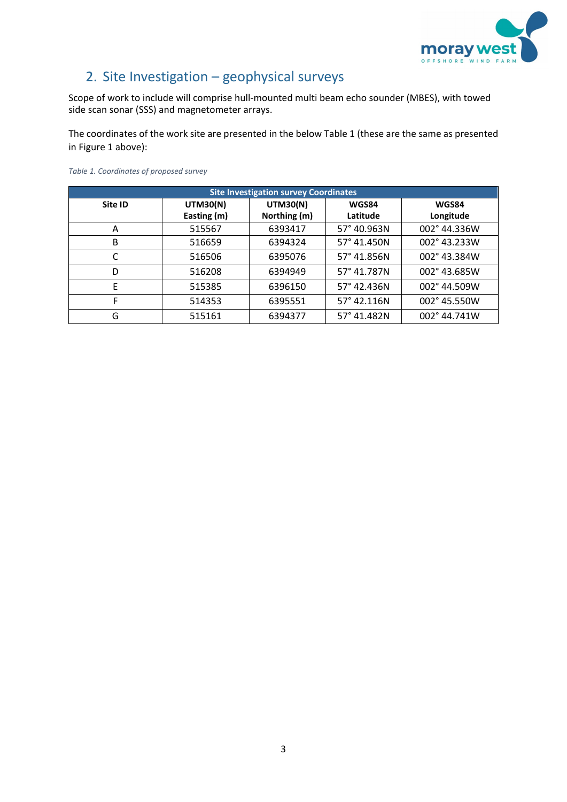

### 2. Site Investigation – geophysical surveys

Scope of work to include will comprise hull-mounted multi beam echo sounder (MBES), with towed side scan sonar (SSS) and magnetometer arrays.

The coordinates of the work site are presented in the below Table 1 (these are the same as presented in Figure 1 above):

| <b>Site Investigation survey Coordinates</b> |                 |                 |             |                       |  |  |
|----------------------------------------------|-----------------|-----------------|-------------|-----------------------|--|--|
| Site ID                                      | <b>UTM30(N)</b> | <b>UTM30(N)</b> | WGS84       | WGS84                 |  |  |
|                                              | Easting (m)     | Northing (m)    | Latitude    | Longitude             |  |  |
| A                                            | 515567          | 6393417         | 57° 40.963N | 002°44.336W           |  |  |
| B                                            | 516659          | 6394324         | 57° 41.450N | 002° 43.233W          |  |  |
|                                              | 516506          | 6395076         | 57° 41.856N | 002° 43.384W          |  |  |
| D                                            | 516208          | 6394949         | 57° 41.787N | 002° 43.685W          |  |  |
| E                                            | 515385          | 6396150         | 57° 42.436N | $002^{\circ}$ 44.509W |  |  |
| F                                            | 514353          | 6395551         | 57° 42.116N | 002° 45.550W          |  |  |
| G                                            | 515161          | 6394377         | 57° 41.482N | 002° 44.741W          |  |  |

#### *Table 1. Coordinates of proposed survey*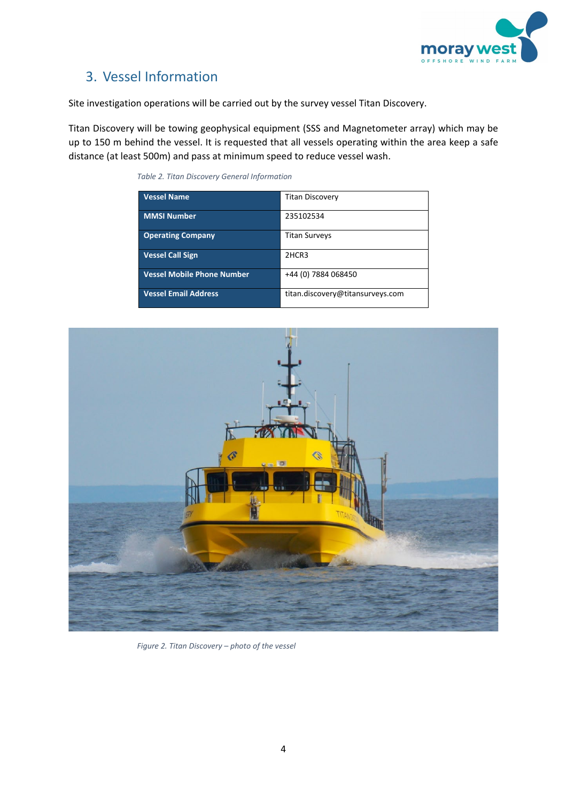

### 3. Vessel Information

Site investigation operations will be carried out by the survey vessel Titan Discovery.

Titan Discovery will be towing geophysical equipment (SSS and Magnetometer array) which may be up to 150 m behind the vessel. It is requested that all vessels operating within the area keep a safe distance (at least 500m) and pass at minimum speed to reduce vessel wash.

| <b>Vessel Name</b>                |                                  |
|-----------------------------------|----------------------------------|
|                                   | <b>Titan Discovery</b>           |
| <b>MMSI Number</b>                | 235102534                        |
| <b>Operating Company</b>          | <b>Titan Surveys</b>             |
| <b>Vessel Call Sign</b>           | 2HCR3                            |
| <b>Vessel Mobile Phone Number</b> | +44 (0) 7884 068450              |
| <b>Vessel Email Address</b>       | titan.discovery@titansurveys.com |

*Table 2. Titan Discovery General Information*



*Figure 2. Titan Discovery – photo of the vessel*